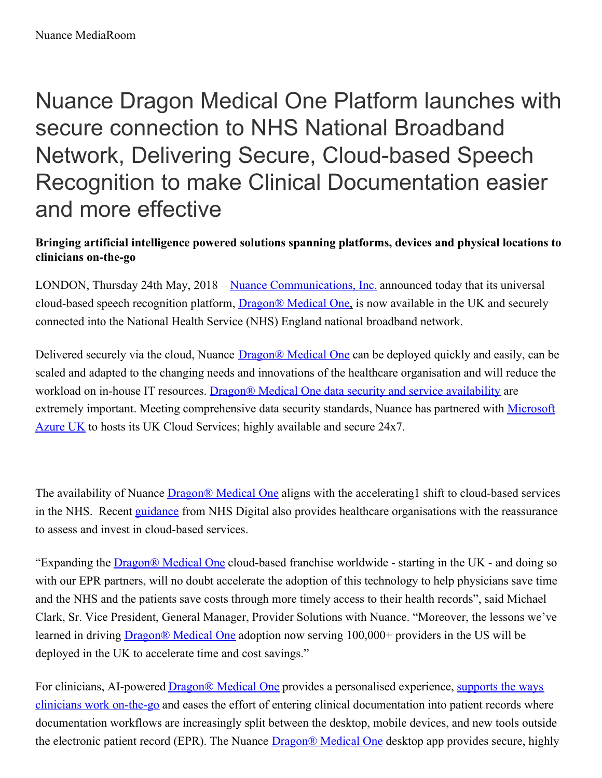Nuance Dragon Medical One Platform launches with secure connection to NHS National Broadband Network, Delivering Secure, Cloud-based Speech Recognition to make Clinical Documentation easier and more effective

## **Bringing artificial intelligence powered solutions spanning platforms, devices and physical locations to clinicians on-the-go**

LONDON, Thursday 24th May, 2018 – Nuance [Communications,](https://www.nuance.com/en-gb/index.html) Inc. announced today that its universal cloud-based speech recognition platform, [Dragon®](https://www.nuance.com/en-gb/healthcare/physician-and-clinical-speech/dragon-medical-one.html) Medical One, is now available in the UK and securely connected into the National Health Service (NHS) England national broadband network.

Delivered securely via the cloud, Nuance **[Dragon®](https://www.nuance.com/en-gb/healthcare/physician-and-clinical-speech/dragon-medical-one.html) Medical One** can be deployed quickly and easily, can be scaled and adapted to the changing needs and innovations of the healthcare organisation and will reduce the workload on in-house IT resources. Dragon® Medical One data security and service [availability](https://www.nuance.com/content/dam/nuance/en_uk/collateral/healthcare/data-sheet/ds-nuance-healthcare-data-security-for-hosted-infrastructure-services-en-uk.pdf) are extremely important. Meeting [comprehensive](https://azure.microsoft.com/en-gb/) data security standards, Nuance has partnered with Microsoft Azure UK to hosts its UK Cloud Services; highly available and secure 24x7.

The availability of Nuance [Dragon®](https://www.nuance.com/en-gb/healthcare/physician-and-clinical-speech/dragon-medical-one.html) Medical One aligns with the accelerating1 shift to cloud-based services in the NHS. Recent [guidance](https://www.digital.nhs.uk/article/8499/NHS-and-social-care-data-off-shoring-and-the-use-of-public-cloud-services-guidance) from NHS Digital also provides healthcare organisations with the reassurance to assess and invest in cloud-based services.

"Expanding the [Dragon®](https://www.nuance.com/en-gb/healthcare/physician-and-clinical-speech/dragon-medical-one.html) Medical One cloud-based franchise worldwide - starting in the UK - and doing so with our EPR partners, will no doubt accelerate the adoption of this technology to help physicians save time and the NHS and the patients save costs through more timely access to their health records", said Michael Clark, Sr. Vice President, General Manager, Provider Solutions with Nuance. "Moreover, the lessons we've learned in driving [Dragon®](https://www.nuance.com/en-gb/healthcare/physician-and-clinical-speech/dragon-medical-one.html) Medical One adoption now serving 100,000+ providers in the US will be deployed in the UK to accelerate time and cost savings."

For clinicians, AI-powered [Dragon®](https://www.nuance.com/en-gb/healthcare/physician-and-clinical-speech/dragon-medical-one.html) Medical One provides a personalised experience, supports the ways clinicians work on-the-go and eases the effort of entering clinical [documentation](https://www.nuance.com/healthcare/infographic/doctors-on-the-move-need-technology.html?utm_source=press-release&utm_medium=PRDM1&utm_campaign=DM1) into patient records where documentation workflows are increasingly split between the desktop, mobile devices, and new tools outside the electronic patient record (EPR). The Nuance [Dragon®](https://www.nuance.com/en-gb/healthcare/physician-and-clinical-speech/dragon-medical-one.html) Medical One desktop app provides secure, highly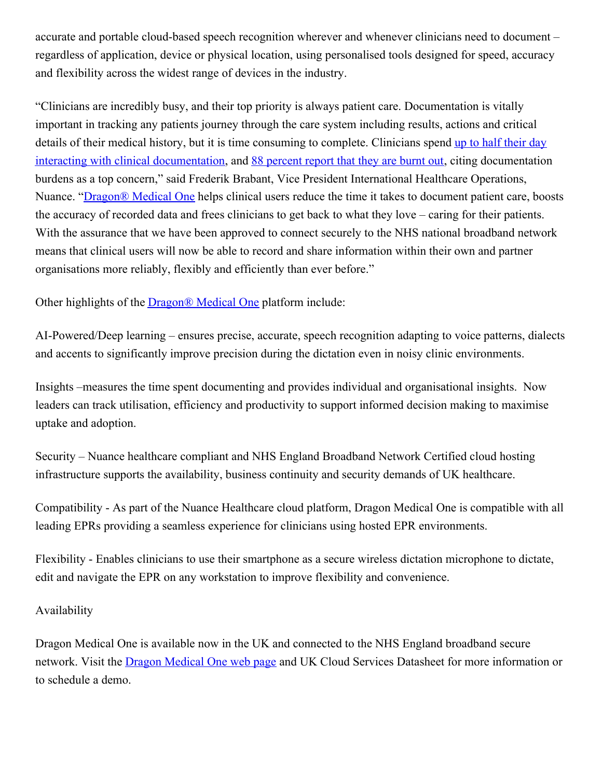accurate and portable cloud-based speech recognition wherever and whenever clinicians need to document – regardless of application, device or physical location, using personalised tools designed for speed, accuracy and flexibility across the widest range of devices in the industry.

"Clinicians are incredibly busy, and their top priority is always patient care. Documentation is vitally important in tracking any patients journey through the care system including results, actions and critical details of their medical history, but it is time consuming to complete. Clinicians spend up to half their day interacting with clinical [documentation,](http://engage.nuance.co.uk/study-nhs-trust-clinical-documentation-challenge) and 88 [percent](http://info.vitalworklife.com/stress) report that they are burnt out, citing documentation burdens as a top concern," said Frederik Brabant, Vice President International Healthcare Operations, Nuance. ["Dragon®](https://www.nuance.com/en-gb/healthcare/physician-and-clinical-speech/dragon-medical-one.html) Medical One helps clinical users reduce the time it takes to document patient care, boosts the accuracy of recorded data and frees clinicians to get back to what they love – caring for their patients. With the assurance that we have been approved to connect securely to the NHS national broadband network means that clinical users will now be able to record and share information within their own and partner organisations more reliably, flexibly and efficiently than ever before."

Other highlights of the [Dragon®](https://www.nuance.com/en-gb/healthcare/physician-and-clinical-speech/dragon-medical-one.html) Medical One platform include:

AI-Powered/Deep learning – ensures precise, accurate, speech recognition adapting to voice patterns, dialects and accents to significantly improve precision during the dictation even in noisy clinic environments.

Insights –measures the time spent documenting and provides individual and organisational insights. Now leaders can track utilisation, efficiency and productivity to support informed decision making to maximise uptake and adoption.

Security – Nuance healthcare compliant and NHS England Broadband Network Certified cloud hosting infrastructure supports the availability, business continuity and security demands of UK healthcare.

Compatibility - As part of the Nuance Healthcare cloud platform, Dragon Medical One is compatible with all leading EPRs providing a seamless experience for clinicians using hosted EPR environments.

Flexibility - Enables clinicians to use their smartphone as a secure wireless dictation microphone to dictate, edit and navigate the EPR on any workstation to improve flexibility and convenience.

## Availability

Dragon Medical One is available now in the UK and connected to the NHS England broadband secure network. Visit the Dragon [Medical](https://www.nuance.com/en-gb/healthcare/physician-and-clinical-speech/dragon-medical-one.html) One web page and UK Cloud Services Datasheet for more information or to schedule a demo.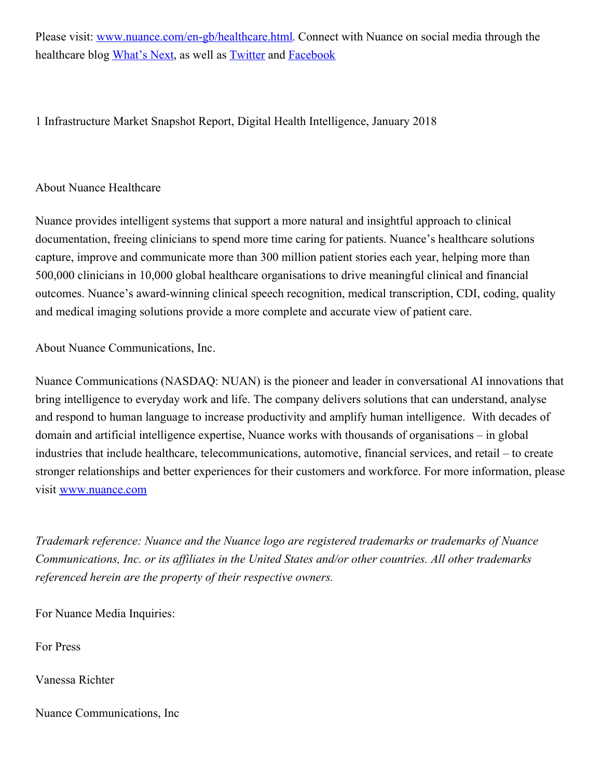Please visit: [www.nuance.com/en-gb/healthcare.html](http://www.nuance.com/en-gb/healthcare.html). Connect with Nuance on social media through the healthcare blog [What's](http://whatsnext.nuance.co.uk/) Next, as well as [Twitter](https://twitter.com/voice4health) and [Facebook](https://www.facebook.com/NuanceHealthcare)

1 Infrastructure Market Snapshot Report, Digital Health Intelligence, January 2018

## About Nuance Healthcare

Nuance provides intelligent systems that support a more natural and insightful approach to clinical documentation, freeing clinicians to spend more time caring for patients. Nuance's healthcare solutions capture, improve and communicate more than 300 million patient stories each year, helping more than 500,000 clinicians in 10,000 global healthcare organisations to drive meaningful clinical and financial outcomes. Nuance's award-winning clinical speech recognition, medical transcription, CDI, coding, quality and medical imaging solutions provide a more complete and accurate view of patient care.

About Nuance Communications, Inc.

Nuance Communications (NASDAQ: NUAN) is the pioneer and leader in conversational AI innovations that bring intelligence to everyday work and life. The company delivers solutions that can understand, analyse and respond to human language to increase productivity and amplify human intelligence. With decades of domain and artificial intelligence expertise, Nuance works with thousands of organisations – in global industries that include healthcare, telecommunications, automotive, financial services, and retail – to create stronger relationships and better experiences for their customers and workforce. For more information, please visit [www.nuance.com](http://www.nuance.com/)

*Trademark reference: Nuance and the Nuance logo are registered trademarks or trademarks of Nuance Communications, Inc. or its af iliates in the United States and/or other countries. All other trademarks referenced herein are the property of their respective owners.*

For Nuance Media Inquiries:

For Press

Vanessa Richter

Nuance Communications, Inc